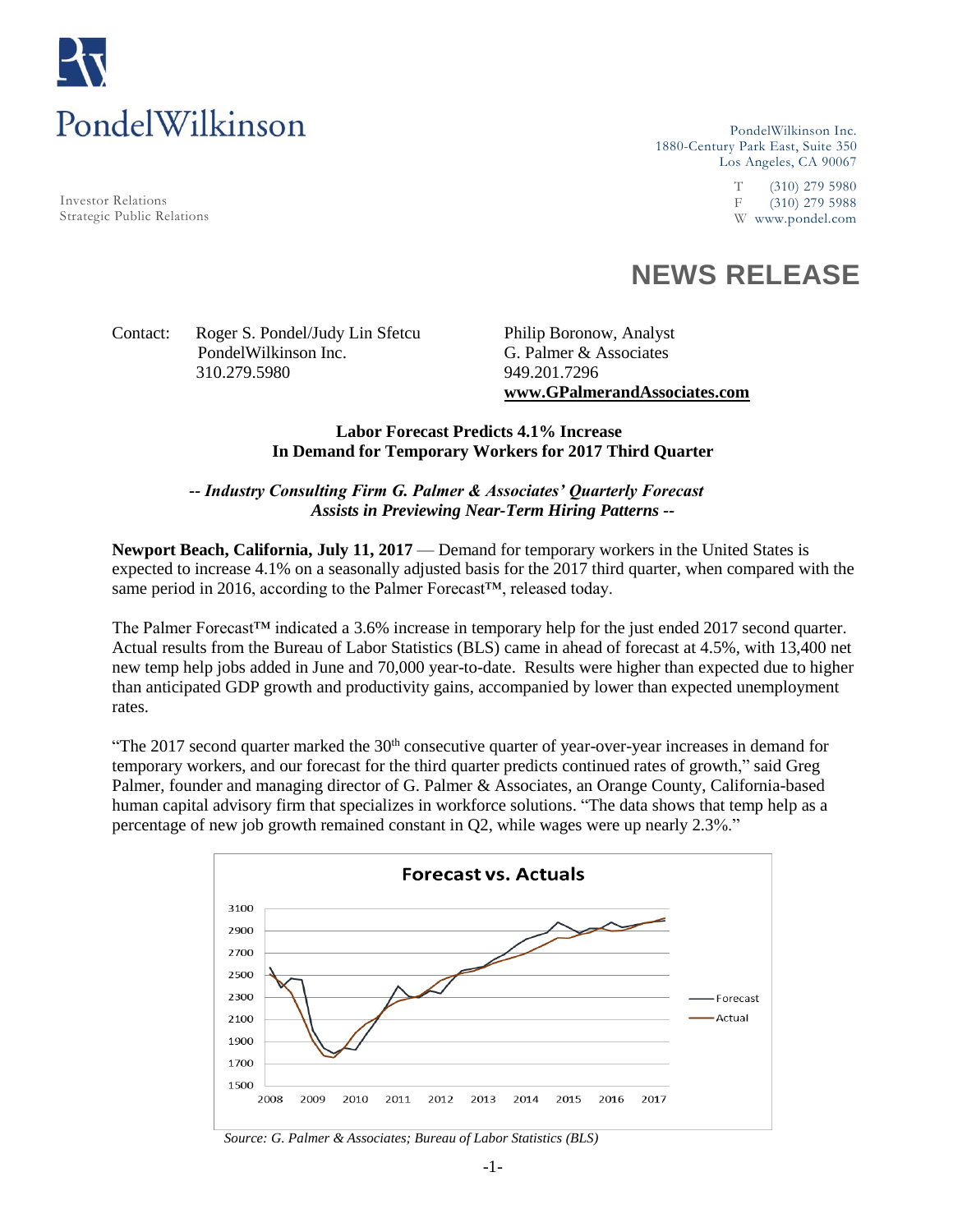

Investor Relations Strategic Public Relations

PondelWilkinson Inc. 1880-Century Park East, Suite 350 Los Angeles, CA 90067

> T (310) 279 5980 F (310) 279 5988 W www.pondel.com

# **NEWS RELEASE**

## Contact: Roger S. Pondel/Judy Lin Sfetcu Philip Boronow, Analyst PondelWilkinson Inc. G. Palmer & Associates 310.279.5980 949.201.7296

**www.GPalmerandAssociates.com** 

## **Labor Forecast Predicts 4.1% Increase In Demand for Temporary Workers for 2017 Third Quarter**

## *-- Industry Consulting Firm G. Palmer & Associates' Quarterly Forecast Assists in Previewing Near-Term Hiring Patterns --*

**Newport Beach, California, July 11, 2017** — Demand for temporary workers in the United States is expected to increase 4.1% on a seasonally adjusted basis for the 2017 third quarter, when compared with the same period in 2016, according to the Palmer Forecast™, released today.

The Palmer Forecast™ indicated a 3.6% increase in temporary help for the just ended 2017 second quarter. Actual results from the Bureau of Labor Statistics (BLS) came in ahead of forecast at 4.5%, with 13,400 net new temp help jobs added in June and 70,000 year-to-date. Results were higher than expected due to higher than anticipated GDP growth and productivity gains, accompanied by lower than expected unemployment rates.

"The 2017 second quarter marked the  $30<sup>th</sup>$  consecutive quarter of year-over-year increases in demand for temporary workers, and our forecast for the third quarter predicts continued rates of growth," said Greg Palmer, founder and managing director of G. Palmer & Associates, an Orange County, California-based human capital advisory firm that specializes in workforce solutions. "The data shows that temp help as a percentage of new job growth remained constant in Q2, while wages were up nearly 2.3%."



*Source: G. Palmer & Associates; Bureau of Labor Statistics (BLS)*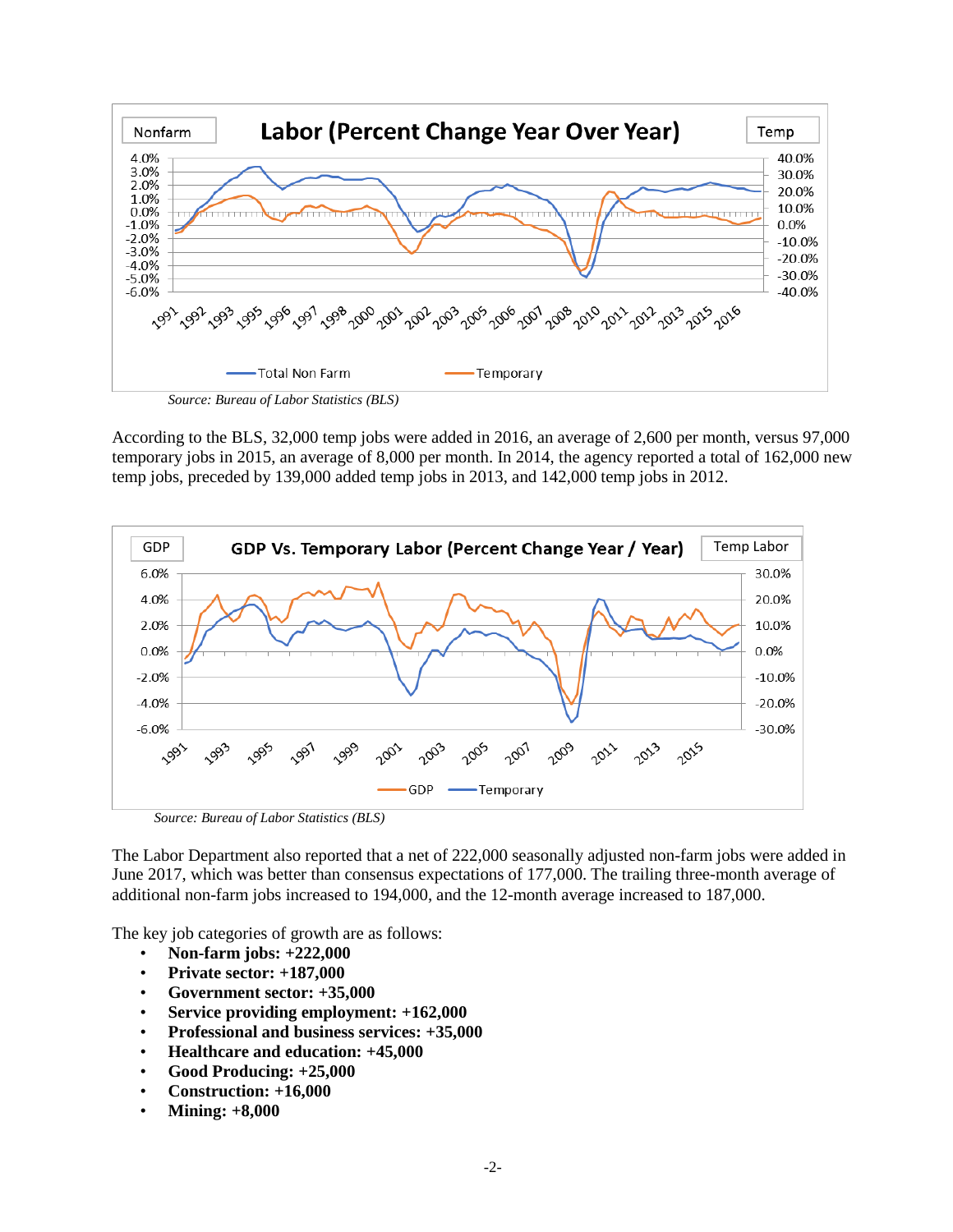

According to the BLS, 32,000 temp jobs were added in 2016, an average of 2,600 per month, versus 97,000 temporary jobs in 2015, an average of 8,000 per month. In 2014, the agency reported a total of 162,000 new temp jobs, preceded by 139,000 added temp jobs in 2013, and 142,000 temp jobs in 2012.



*Source: Bureau of Labor Statistics (BLS)*

The Labor Department also reported that a net of 222,000 seasonally adjusted non-farm jobs were added in June 2017, which was better than consensus expectations of 177,000. The trailing three-month average of additional non-farm jobs increased to 194,000, and the 12-month average increased to 187,000.

The key job categories of growth are as follows:

- **Non-farm jobs: +222,000**
- **Private sector: +187,000**
- **Government sector: +35,000**
- **Service providing employment: +162,000**
- **Professional and business services: +35,000**
- **Healthcare and education: +45,000**
- **Good Producing: +25,000**
- **Construction: +16,000**
- **Mining: +8,000**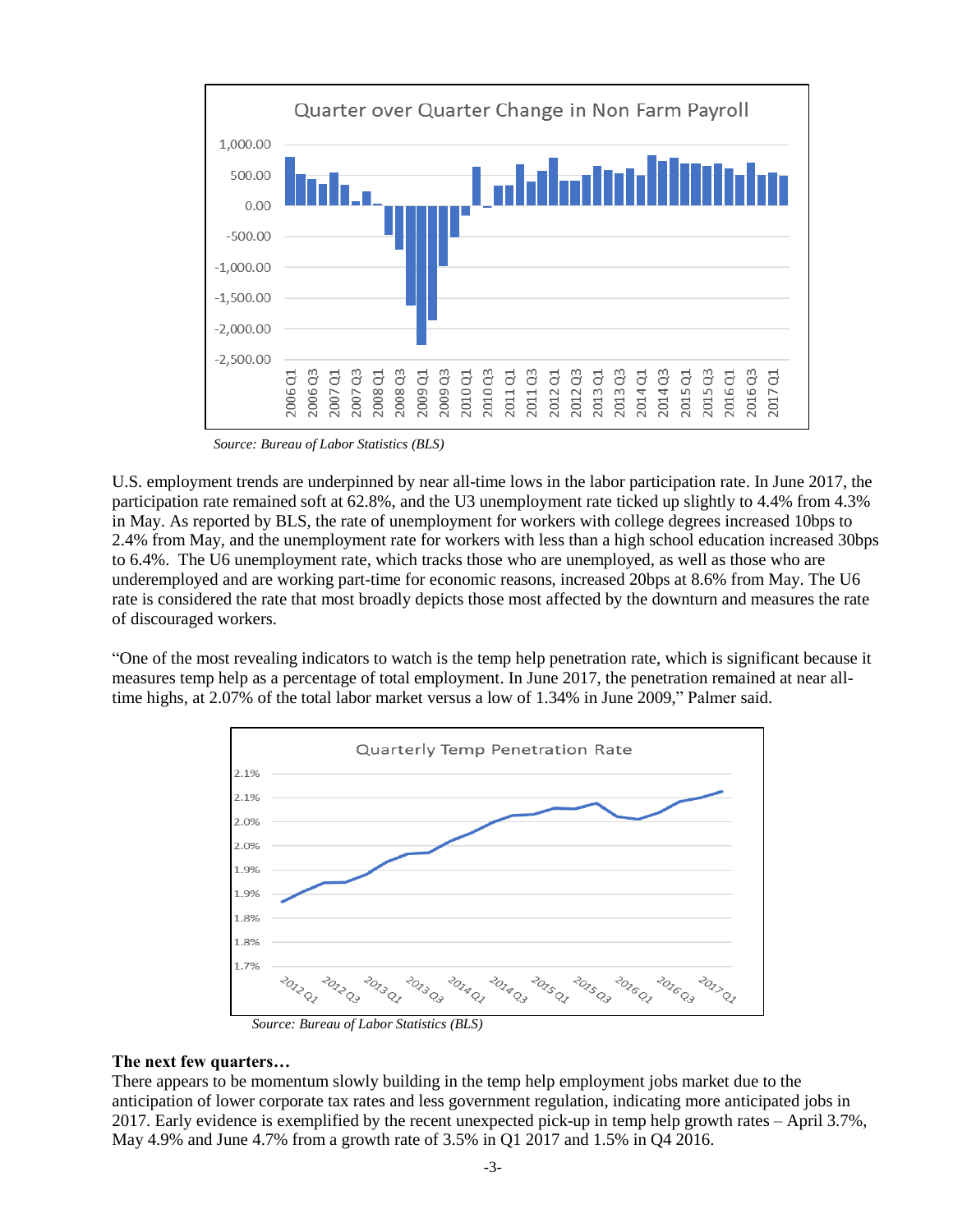

 *Source: Bureau of Labor Statistics (BLS)*

U.S. employment trends are underpinned by near all-time lows in the labor participation rate. In June 2017, the participation rate remained soft at 62.8%, and the U3 unemployment rate ticked up slightly to 4.4% from 4.3% in May. As reported by BLS, the rate of unemployment for workers with college degrees increased 10bps to 2.4% from May, and the unemployment rate for workers with less than a high school education increased 30bps to 6.4%. The U6 unemployment rate, which tracks those who are unemployed, as well as those who are underemployed and are working part-time for economic reasons, increased 20bps at 8.6% from May. The U6 rate is considered the rate that most broadly depicts those most affected by the downturn and measures the rate of discouraged workers.

"One of the most revealing indicators to watch is the temp help penetration rate, which is significant because it measures temp help as a percentage of total employment. In June 2017, the penetration remained at near alltime highs, at 2.07% of the total labor market versus a low of 1.34% in June 2009," Palmer said.



*Source: Bureau of Labor Statistics (BLS)*

## **The next few quarters…**

There appears to be momentum slowly building in the temp help employment jobs market due to the anticipation of lower corporate tax rates and less government regulation, indicating more anticipated jobs in 2017. Early evidence is exemplified by the recent unexpected pick-up in temp help growth rates – April 3.7%, May 4.9% and June 4.7% from a growth rate of 3.5% in Q1 2017 and 1.5% in Q4 2016.